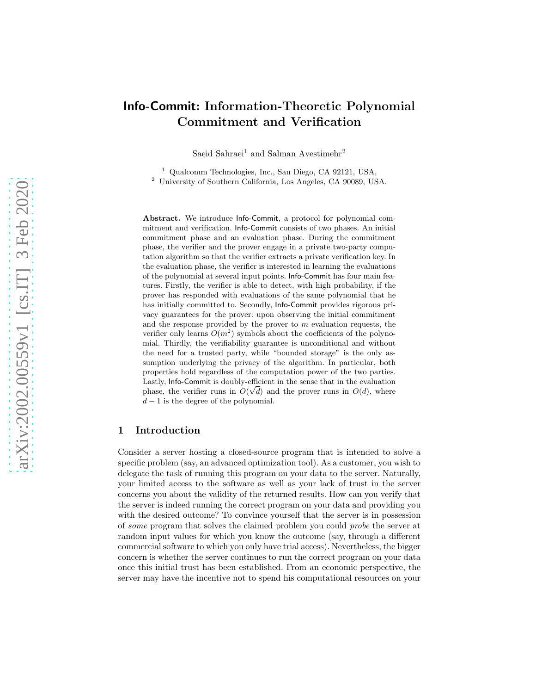# Info-Commit: Information-Theoretic Polynomial Commitment and Verification

Saeid Sahraei<sup>1</sup> and Salman Avestimehr<sup>2</sup>

<sup>1</sup> Qualcomm Technologies, Inc., San Diego, CA 92121, USA, <sup>2</sup> University of Southern California, Los Angeles, CA 90089, USA.

Abstract. We introduce Info-Commit, a protocol for polynomial commitment and verification. Info-Commit consists of two phases. An initial commitment phase and an evaluation phase. During the commitment phase, the verifier and the prover engage in a private two-party computation algorithm so that the verifier extracts a private verification key. In the evaluation phase, the verifier is interested in learning the evaluations of the polynomial at several input points. Info-Commit has four main features. Firstly, the verifier is able to detect, with high probability, if the prover has responded with evaluations of the same polynomial that he has initially committed to. Secondly, Info-Commit provides rigorous privacy guarantees for the prover: upon observing the initial commitment and the response provided by the prover to  $m$  evaluation requests, the verifier only learns  $O(m^2)$  symbols about the coefficients of the polynomial. Thirdly, the verifiability guarantee is unconditional and without the need for a trusted party, while "bounded storage" is the only assumption underlying the privacy of the algorithm. In particular, both properties hold regardless of the computation power of the two parties. Lastly, Info-Commit is doubly-efficient in the sense that in the evaluation phase, the verifier runs in  $O(\sqrt{d})$  and the prover runs in  $O(d)$ , where  $d-1$  is the degree of the polynomial.

## 1 Introduction

Consider a server hosting a closed-source program that is intended to solve a specific problem (say, an advanced optimization tool). As a customer, you wish to delegate the task of running this program on your data to the server. Naturally, your limited access to the software as well as your lack of trust in the server concerns you about the validity of the returned results. How can you verify that the server is indeed running the correct program on your data and providing you with the desired outcome? To convince yourself that the server is in possession of some program that solves the claimed problem you could probe the server at random input values for which you know the outcome (say, through a different commercial software to which you only have trial access). Nevertheless, the bigger concern is whether the server continues to run the correct program on your data once this initial trust has been established. From an economic perspective, the server may have the incentive not to spend his computational resources on your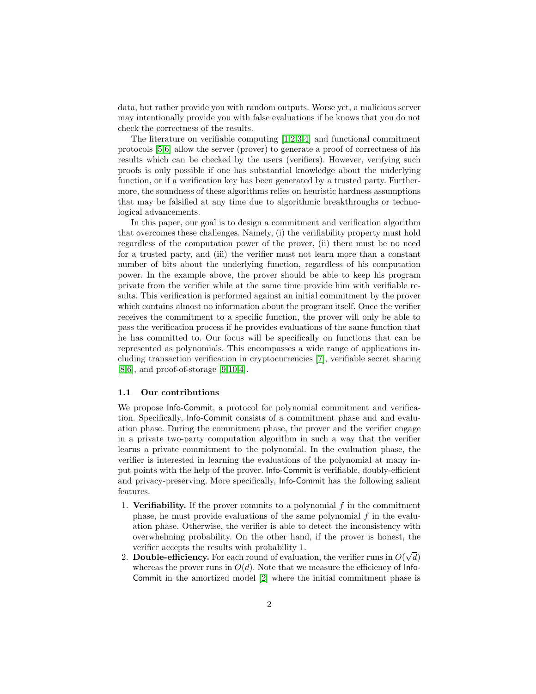data, but rather provide you with random outputs. Worse yet, a malicious server may intentionally provide you with false evaluations if he knows that you do not check the correctness of the results.

The literature on verifiable computing [\[1](#page-18-0)[,2](#page-18-1)[,3,](#page-18-2)[4\]](#page-18-3) and functional commitment protocols [\[5](#page-18-4)[,6\]](#page-18-5) allow the server (prover) to generate a proof of correctness of his results which can be checked by the users (verifiers). However, verifying such proofs is only possible if one has substantial knowledge about the underlying function, or if a verification key has been generated by a trusted party. Furthermore, the soundness of these algorithms relies on heuristic hardness assumptions that may be falsified at any time due to algorithmic breakthroughs or technological advancements.

In this paper, our goal is to design a commitment and verification algorithm that overcomes these challenges. Namely, (i) the verifiability property must hold regardless of the computation power of the prover, (ii) there must be no need for a trusted party, and (iii) the verifier must not learn more than a constant number of bits about the underlying function, regardless of his computation power. In the example above, the prover should be able to keep his program private from the verifier while at the same time provide him with verifiable results. This verification is performed against an initial commitment by the prover which contains almost no information about the program itself. Once the verifier receives the commitment to a specific function, the prover will only be able to pass the verification process if he provides evaluations of the same function that he has committed to. Our focus will be specifically on functions that can be represented as polynomials. This encompasses a wide range of applications including transaction verification in cryptocurrencies [\[7\]](#page-18-6), verifiable secret sharing  $[8,6]$  $[8,6]$ , and proof-of-storage  $[9,10,4]$  $[9,10,4]$  $[9,10,4]$ .

#### 1.1 Our contributions

We propose Info-Commit, a protocol for polynomial commitment and verification. Specifically, Info-Commit consists of a commitment phase and and evaluation phase. During the commitment phase, the prover and the verifier engage in a private two-party computation algorithm in such a way that the verifier learns a private commitment to the polynomial. In the evaluation phase, the verifier is interested in learning the evaluations of the polynomial at many input points with the help of the prover. Info-Commit is verifiable, doubly-efficient and privacy-preserving. More specifically, Info-Commit has the following salient features.

- 1. Verifiability. If the prover commits to a polynomial  $f$  in the commitment phase, he must provide evaluations of the same polynomial  $f$  in the evaluation phase. Otherwise, the verifier is able to detect the inconsistency with overwhelming probability. On the other hand, if the prover is honest, the verifier accepts the results with probability 1.
- 2. Double-efficiency. For each round of evaluation, the verifier runs in  $O(\sqrt{d})$ whereas the prover runs in  $O(d)$ . Note that we measure the efficiency of Info-Commit in the amortized model [\[2\]](#page-18-1) where the initial commitment phase is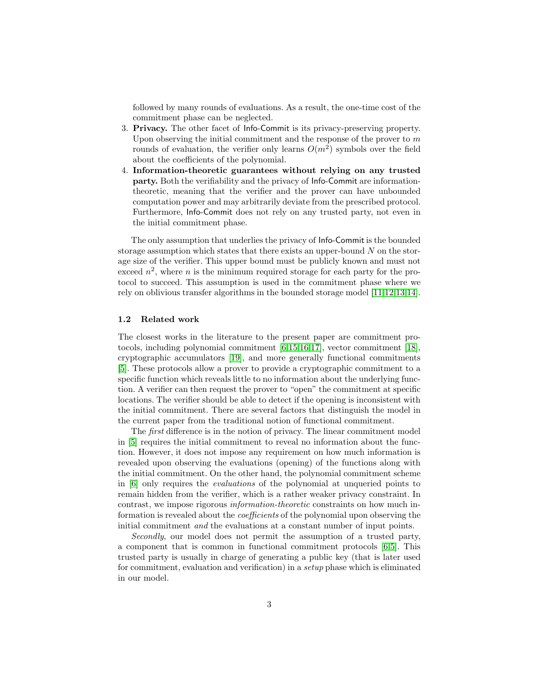followed by many rounds of evaluations. As a result, the one-time cost of the commitment phase can be neglected.

- 3. Privacy. The other facet of Info-Commit is its privacy-preserving property. Upon observing the initial commitment and the response of the prover to  $m$ rounds of evaluation, the verifier only learns  $O(m^2)$  symbols over the field about the coefficients of the polynomial.
- 4. Information-theoretic guarantees without relying on any trusted party. Both the verifiability and the privacy of Info-Commit are informationtheoretic, meaning that the verifier and the prover can have unbounded computation power and may arbitrarily deviate from the prescribed protocol. Furthermore, Info-Commit does not rely on any trusted party, not even in the initial commitment phase.

The only assumption that underlies the privacy of Info-Commit is the bounded storage assumption which states that there exists an upper-bound  $N$  on the storage size of the verifier. This upper bound must be publicly known and must not exceed  $n^2$ , where n is the minimum required storage for each party for the protocol to succeed. This assumption is used in the commitment phase where we rely on oblivious transfer algorithms in the bounded storage model [\[11,](#page-18-10)[12](#page-19-0)[,13](#page-19-1)[,14\]](#page-19-2).

#### 1.2 Related work

The closest works in the literature to the present paper are commitment protocols, including polynomial commitment [\[6,](#page-18-5)[15](#page-19-3)[,16](#page-19-4)[,17\]](#page-19-5), vector commitment [\[18\]](#page-19-6), cryptographic accumulators [\[19\]](#page-19-7), and more generally functional commitments [\[5\]](#page-18-4). These protocols allow a prover to provide a cryptographic commitment to a specific function which reveals little to no information about the underlying function. A verifier can then request the prover to "open" the commitment at specific locations. The verifier should be able to detect if the opening is inconsistent with the initial commitment. There are several factors that distinguish the model in the current paper from the traditional notion of functional commitment.

The first difference is in the notion of privacy. The linear commitment model in [\[5\]](#page-18-4) requires the initial commitment to reveal no information about the function. However, it does not impose any requirement on how much information is revealed upon observing the evaluations (opening) of the functions along with the initial commitment. On the other hand, the polynomial commitment scheme in [\[6\]](#page-18-5) only requires the evaluations of the polynomial at unqueried points to remain hidden from the verifier, which is a rather weaker privacy constraint. In contrast, we impose rigorous information-theoretic constraints on how much information is revealed about the coefficients of the polynomial upon observing the initial commitment and the evaluations at a constant number of input points.

Secondly, our model does not permit the assumption of a trusted party, a component that is common in functional commitment protocols [\[6](#page-18-5)[,5\]](#page-18-4). This trusted party is usually in charge of generating a public key (that is later used for commitment, evaluation and verification) in a setup phase which is eliminated in our model.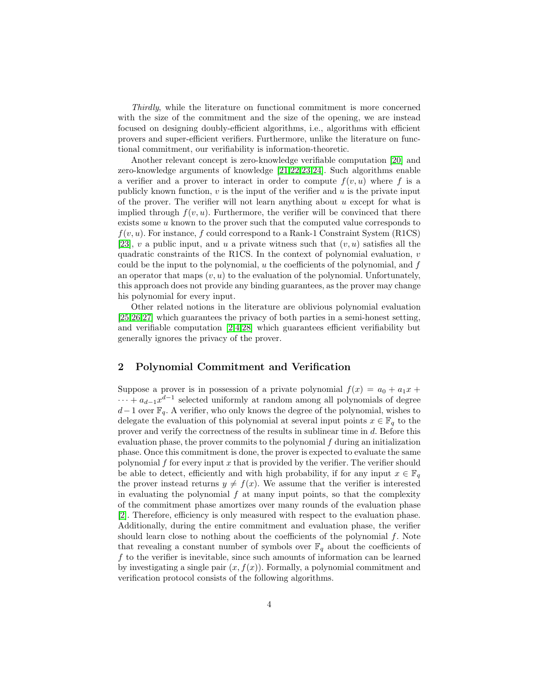Thirdly, while the literature on functional commitment is more concerned with the size of the commitment and the size of the opening, we are instead focused on designing doubly-efficient algorithms, i.e., algorithms with efficient provers and super-efficient verifiers. Furthermore, unlike the literature on functional commitment, our verifiability is information-theoretic.

Another relevant concept is zero-knowledge verifiable computation [\[20\]](#page-19-8) and zero-knowledge arguments of knowledge [\[21](#page-19-9)[,22,](#page-19-10)[23,](#page-19-11)[24\]](#page-19-12). Such algorithms enable a verifier and a prover to interact in order to compute  $f(v, u)$  where f is a publicly known function,  $v$  is the input of the verifier and  $u$  is the private input of the prover. The verifier will not learn anything about  $u$  except for what is implied through  $f(v, u)$ . Furthermore, the verifier will be convinced that there exists some  $u$  known to the prover such that the computed value corresponds to  $f(v, u)$ . For instance, f could correspond to a Rank-1 Constraint System (R1CS) [\[23\]](#page-19-11), v a public input, and u a private witness such that  $(v, u)$  satisfies all the quadratic constraints of the R1CS. In the context of polynomial evaluation, v could be the input to the polynomial,  $u$  the coefficients of the polynomial, and  $f$ an operator that maps  $(v, u)$  to the evaluation of the polynomial. Unfortunately, this approach does not provide any binding guarantees, as the prover may change his polynomial for every input.

Other related notions in the literature are oblivious polynomial evaluation [\[25](#page-19-13)[,26](#page-19-14)[,27\]](#page-19-15) which guarantees the privacy of both parties in a semi-honest setting, and verifiable computation [\[2,](#page-18-1)[4](#page-18-3)[,28\]](#page-19-16) which guarantees efficient verifiability but generally ignores the privacy of the prover.

## 2 Polynomial Commitment and Verification

Suppose a prover is in possession of a private polynomial  $f(x) = a_0 + a_1x +$  $\cdots + a_{d-1}x^{d-1}$  selected uniformly at random among all polynomials of degree  $d-1$  over  $\mathbb{F}_q$ . A verifier, who only knows the degree of the polynomial, wishes to delegate the evaluation of this polynomial at several input points  $x \in \mathbb{F}_q$  to the prover and verify the correctness of the results in sublinear time in d. Before this evaluation phase, the prover commits to the polynomial  $f$  during an initialization phase. Once this commitment is done, the prover is expected to evaluate the same polynomial  $f$  for every input  $x$  that is provided by the verifier. The verifier should be able to detect, efficiently and with high probability, if for any input  $x \in \mathbb{F}_q$ the prover instead returns  $y \neq f(x)$ . We assume that the verifier is interested in evaluating the polynomial  $f$  at many input points, so that the complexity of the commitment phase amortizes over many rounds of the evaluation phase [\[2\]](#page-18-1). Therefore, efficiency is only measured with respect to the evaluation phase. Additionally, during the entire commitment and evaluation phase, the verifier should learn close to nothing about the coefficients of the polynomial  $f$ . Note that revealing a constant number of symbols over  $\mathbb{F}_q$  about the coefficients of f to the verifier is inevitable, since such amounts of information can be learned by investigating a single pair  $(x, f(x))$ . Formally, a polynomial commitment and verification protocol consists of the following algorithms.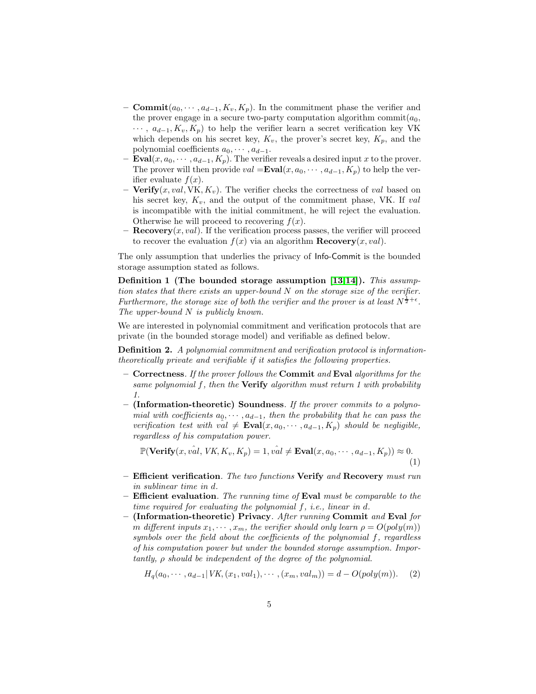- **Commit** $(a_0, \dots, a_{d-1}, K_v, K_p)$ . In the commitment phase the verifier and the prover engage in a secure two-party computation algorithm commit $(a_0,$  $\cdots$ ,  $a_{d-1}, K_v, K_p$  to help the verifier learn a secret verification key VK which depends on his secret key,  $K_v$ , the prover's secret key,  $K_p$ , and the polynomial coefficients  $a_0, \dots, a_{d-1}$ .
- **Eval** $(x, a_0, \dots, a_{d-1}, K_p)$ . The verifier reveals a desired input x to the prover. The prover will then provide  $val = \text{Eval}(x, a_0, \dots, a_{d-1}, K_p)$  to help the verifier evaluate  $f(x)$ .
- Verify $(x, val, VK, K_v)$ . The verifier checks the correctness of val based on his secret key,  $K_v$ , and the output of the commitment phase, VK. If val is incompatible with the initial commitment, he will reject the evaluation. Otherwise he will proceed to recovering  $f(x)$ .
- **Recovery** $(x, val)$ . If the verification process passes, the verifier will proceed to recover the evaluation  $f(x)$  via an algorithm **Recovery** $(x, val)$ .

The only assumption that underlies the privacy of Info-Commit is the bounded storage assumption stated as follows.

Definition 1 (The bounded storage assumption [\[13,](#page-19-1)[14\]](#page-19-2)). This assumption states that there exists an upper-bound  $N$  on the storage size of the verifier. Furthermore, the storage size of both the verifier and the prover is at least  $N^{\frac{1}{2}+\epsilon}$ . The upper-bound N is publicly known.

We are interested in polynomial commitment and verification protocols that are private (in the bounded storage model) and verifiable as defined below.

Definition 2. A polynomial commitment and verification protocol is informationtheoretically private and verifiable if it satisfies the following properties.

- $-$  Correctness. If the prover follows the Commit and Eval algorithms for the same polynomial  $f$ , then the **Verify** algorithm must return 1 with probability 1.
- $-$  (Information-theoretic) Soundness. If the prover commits to a polynomial with coefficients  $a_0, \dots, a_{d-1}$ , then the probability that he can pass the verification test with val  $\neq$  Eval $(x, a_0, \dots, a_{d-1}, K_p)$  should be negligible, regardless of his computation power.

$$
\mathbb{P}(\text{Verify}(x, \hat{val}, \text{VK}, K_v, K_p) = 1, \hat{val} \neq \text{Eval}(x, a_0, \cdots, a_{d-1}, K_p)) \approx 0. \tag{1}
$$

- $-$  Efficient verification. The two functions Verify and Recovery must run in sublinear time in d.
- $-$  Efficient evaluation. The running time of Eval must be comparable to the time required for evaluating the polynomial f, i.e., linear in d.
- (Information-theoretic) Privacy. After running Commit and Eval for m different inputs  $x_1, \dots, x_m$ , the verifier should only learn  $\rho = O(poly(m))$ symbols over the field about the coefficients of the polynomial f, regardless of his computation power but under the bounded storage assumption. Importantly,  $\rho$  should be independent of the degree of the polynomial.

<span id="page-4-0"></span>
$$
H_q(a_0, \cdots, a_{d-1} | VK, (x_1, val_1), \cdots, (x_m, val_m)) = d - O(poly(m)). \tag{2}
$$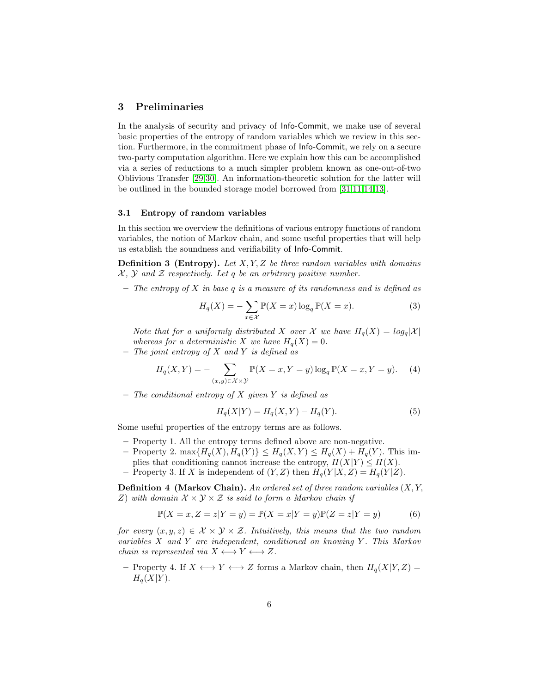## 3 Preliminaries

In the analysis of security and privacy of Info-Commit, we make use of several basic properties of the entropy of random variables which we review in this section. Furthermore, in the commitment phase of Info-Commit, we rely on a secure two-party computation algorithm. Here we explain how this can be accomplished via a series of reductions to a much simpler problem known as one-out-of-two Oblivious Transfer [\[29](#page-19-17)[,30\]](#page-19-18). An information-theoretic solution for the latter will be outlined in the bounded storage model borrowed from [\[31](#page-20-0)[,11,](#page-18-10)[14,](#page-19-2)[13\]](#page-19-1).

### 3.1 Entropy of random variables

In this section we overview the definitions of various entropy functions of random variables, the notion of Markov chain, and some useful properties that will help us establish the soundness and verifiability of Info-Commit.

**Definition 3 (Entropy).** Let  $X, Y, Z$  be three random variables with domains  $X, Y$  and  $Z$  respectively. Let q be an arbitrary positive number.

 $-$  The entropy of X in base q is a measure of its randomness and is defined as

$$
H_q(X) = -\sum_{x \in \mathcal{X}} \mathbb{P}(X = x) \log_q \mathbb{P}(X = x).
$$
 (3)

Note that for a uniformly distributed X over X we have  $H_q(X) = log_q |\mathcal{X}|$ whereas for a deterministic X we have  $H_q(X) = 0$ .

 $-$  The joint entropy of X and Y is defined as

$$
H_q(X,Y) = -\sum_{(x,y)\in X\times Y} \mathbb{P}(X=x,Y=y) \log_q \mathbb{P}(X=x,Y=y).
$$
 (4)

 $-$  The conditional entropy of X given Y is defined as

$$
H_q(X|Y) = H_q(X,Y) - H_q(Y).
$$
 (5)

Some useful properties of the entropy terms are as follows.

- Property 1. All the entropy terms defined above are non-negative.
- Property 2. max $\{H_q(X), H_q(Y)\} \leq H_q(X, Y) \leq H_q(X) + H_q(Y)$ . This implies that conditioning cannot increase the entropy,  $H(X|Y) \leq H(X)$ .
- Property 3. If X is independent of  $(Y, Z)$  then  $H_q(Y|X, Z) = H_q(Y|Z)$ .

**Definition 4 (Markov Chain).** An ordered set of three random variables  $(X, Y, Y)$ Z) with domain  $\mathcal{X} \times \mathcal{Y} \times \mathcal{Z}$  is said to form a Markov chain if

$$
\mathbb{P}(X=x, Z=z|Y=y) = \mathbb{P}(X=x|Y=y)\mathbb{P}(Z=z|Y=y)
$$
 (6)

for every  $(x, y, z) \in \mathcal{X} \times \mathcal{Y} \times \mathcal{Z}$ . Intuitively, this means that the two random variables  $X$  and  $Y$  are independent, conditioned on knowing  $Y$ . This Markov chain is represented via  $X \longleftrightarrow Y \longleftrightarrow Z$ .

– Property 4. If  $X \leftrightarrow Y \leftrightarrow Z$  forms a Markov chain, then  $H_q(X|Y, Z) =$  $H_q(X|Y)$ .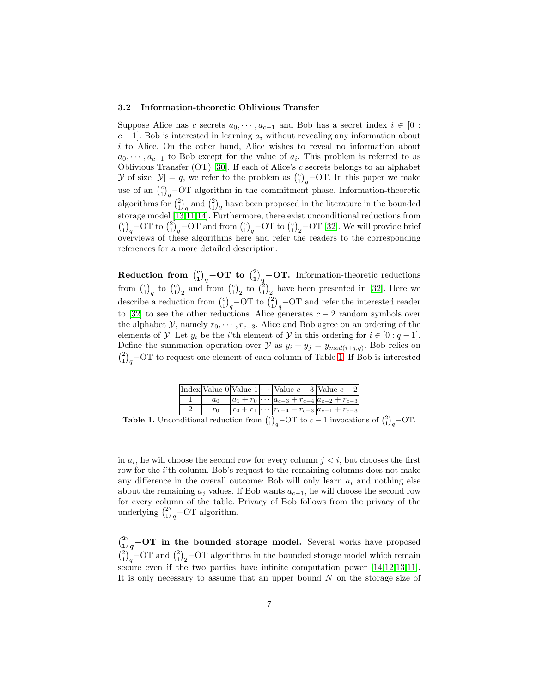#### 3.2 Information-theoretic Oblivious Transfer

Suppose Alice has c secrets  $a_0, \dots, a_{c-1}$  and Bob has a secret index  $i \in [0 :$  $c-1$ . Bob is interested in learning  $a_i$  without revealing any information about  $i$  to Alice. On the other hand, Alice wishes to reveal no information about  $a_0, \dots, a_{c-1}$  to Bob except for the value of  $a_i$ . This problem is referred to as Oblivious Transfer (OT) [\[30\]](#page-19-18). If each of Alice's  $c$  secrets belongs to an alphabet  $\mathcal Y$  of size  $|\mathcal Y|=q$ , we refer to the problem as  $\binom{c}{1}_q$ -OT. In this paper we make use of an  $\binom{c}{1}_q$ -OT algorithm in the commitment phase. Information-theoretic algorithms for  $\binom{2}{1}_q$  and  $\binom{2}{1}_2$  have been proposed in the literature in the bounded  $\binom{c}{1}_q$  – OT to  $\binom{2}{1}_q$  – OT and from  $\binom{c}{1}_q$  – OT to  $\binom{c}{1}_2$  – OT [\[32\]](#page-20-1). We will provide brief storage model [\[13,](#page-19-1)[11](#page-18-10)[,14\]](#page-19-2). Furthermore, there exist unconditional reductions from overviews of these algorithms here and refer the readers to the corresponding references for a more detailed description.

Reduction from  $\binom{c}{1}_q$ -OT to  $\binom{2}{1}_q$ -OT. Information-theoretic reductions from  $\binom{c}{1}_2$  to  $\binom{c}{1}_2$  and from  $\binom{c}{1}_2$  to  $\binom{2}{1}_2$  have been presented in [\[32\]](#page-20-1). Here we describe a reduction from  $\binom{c}{1}_q$ -OT to  $\binom{2}{1}_q$ -OT and refer the interested reader to [\[32\]](#page-20-1) to see the other reductions. Alice generates  $c - 2$  random symbols over the alphabet  $\mathcal{Y}$ , namely  $r_0, \dots, r_{c-3}$ . Alice and Bob agree on an ordering of the elements of  $\mathcal Y$ . Let  $y_i$  be the *i*'th element of  $\mathcal Y$  in this ordering for  $i \in [0:q-1]$ . Define the summation operation over  $\mathcal{Y}$  as  $y_i + y_j = y_{mod(i+j,q)}$ . Bob relies on  $\binom{2}{1}_q$  – OT to request one element of each column of Table [1.](#page-6-0) If Bob is interested

|       |  | Index Value 0 Value $1 \cdots$ Value $c-3$ Value $c-2$         |
|-------|--|----------------------------------------------------------------|
| $a_0$ |  | $ a_1 + r_0  \cdots   a_{c-3} + r_{c-4}   a_{c-2} + r_{c-3}  $ |
| $r_0$ |  | $ r_0 + r_1  \cdots  r_{c-4} + r_{c-3}  a_{c-1} + r_{c-3} $    |

<span id="page-6-0"></span>**Table 1.** Unconditional reduction from  $\binom{c}{1}_q$  – OT to  $c-1$  invocations of  $\binom{2}{1}_q$ – OT.

in  $a_i$ , he will choose the second row for every column  $j < i$ , but chooses the first row for the *i*'th column. Bob's request to the remaining columns does not make any difference in the overall outcome: Bob will only learn  $a_i$  and nothing else about the remaining  $a_j$  values. If Bob wants  $a_{c-1}$ , he will choose the second row for every column of the table. Privacy of Bob follows from the privacy of the underlying  $\binom{2}{1}_q$ -OT algorithm.

 ${2 \choose 1}_q$  – **OT** in the bounded storage model. Several works have proposed  $\binom{2}{1}_q$ -OT and  $\binom{2}{1}_2$ -OT algorithms in the bounded storage model which remain secure even if the two parties have infinite computation power [\[14,](#page-19-2)[12](#page-19-0)[,13](#page-19-1)[,11\]](#page-18-10). It is only necessary to assume that an upper bound  $N$  on the storage size of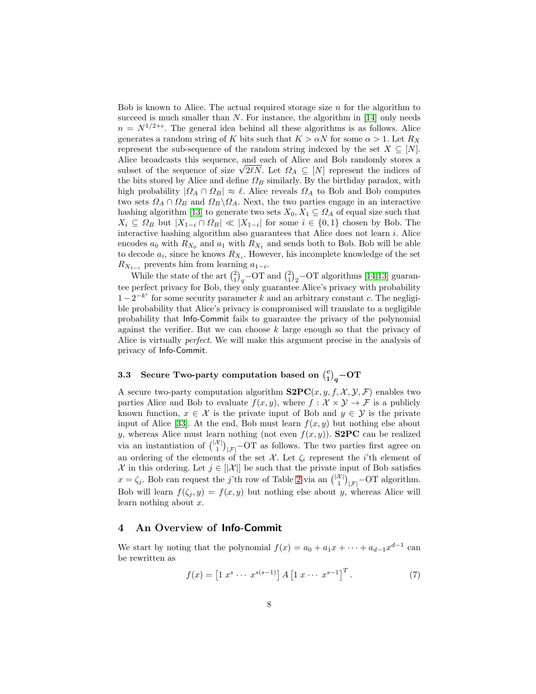Bob is known to Alice. The actual required storage size  $n$  for the algorithm to succeed is much smaller than  $N$ . For instance, the algorithm in [\[14\]](#page-19-2) only needs  $n = N^{1/2+\epsilon}$ . The general idea behind all these algorithms is as follows. Alice generates a random string of K bits such that  $K > \alpha N$  for some  $\alpha > 1$ . Let  $R_X$ represent the sub-sequence of the random string indexed by the set  $X \subseteq [N]$ . Alice broadcasts this sequence, and each of Alice and Bob randomly stores a subset of the sequence of size  $\sqrt{2\ell N}$ . Let  $\Omega_A \subseteq [N]$  represent the indices of the bits stored by Alice and define  $\Omega_B$  similarly. By the birthday paradox, with high probability  $| \Omega_A \cap \Omega_B | \approx \ell$ . Alice reveals  $\Omega_A$  to Bob and Bob computes two sets  $\Omega_A \cap \Omega_B$  and  $\Omega_B \backslash \Omega_A$ . Next, the two parties engage in an interactive hashing algorithm [\[13\]](#page-19-1) to generate two sets  $X_0, X_1 \subseteq \Omega_A$  of equal size such that  $X_i \subseteq \Omega_B$  but  $|X_{1-i} \cap \Omega_B| \ll |X_{1-i}|$  for some  $i \in \{0,1\}$  chosen by Bob. The interactive hashing algorithm also guarantees that Alice does not learn  $i$ . Alice encodes  $a_0$  with  $R_{X_0}$  and  $a_1$  with  $R_{X_1}$  and sends both to Bob. Bob will be able to decode  $a_i$ , since he knows  $R_{X_i}$ . However, his incomplete knowledge of the set  $R_{X_{1-i}}$  prevents him from learning  $a_{1-i}$ .

While the state of the art  $\binom{2}{1}_q$ -OT and  $\binom{2}{1}_2$ -OT algorithms [\[14,](#page-19-2)[13\]](#page-19-1) guarantee perfect privacy for Bob, they only guarantee Alice's privacy with probability  $1-2^{-k^c}$  for some security parameter k and an arbitrary constant c. The negligible probability that Alice's privacy is compromised will translate to a negligible probability that Info-Commit fails to guarantee the privacy of the polynomial against the verifier. But we can choose  $k$  large enough so that the privacy of Alice is virtually perfect. We will make this argument precise in the analysis of privacy of Info-Commit.

# 3.3 Secure Two-party computation based on  $\binom{c}{1}_q$ -OT

A secure two-party computation algorithm  $\text{S2PC}(x, y, f, \mathcal{X}, \mathcal{Y}, \mathcal{F})$  enables two parties Alice and Bob to evaluate  $f(x, y)$ , where  $f : \mathcal{X} \times \mathcal{Y} \to \mathcal{F}$  is a publicly known function,  $x \in \mathcal{X}$  is the private input of Bob and  $y \in \mathcal{Y}$  is the private input of Alice [\[33\]](#page-20-2). At the end, Bob must learn  $f(x, y)$  but nothing else about y, whereas Alice must learn nothing (not even  $f(x, y)$ ). S2PC can be realized via an instantiation of  $\binom{|X|}{1}_{|\mathcal{F}|}$  – OT as follows. The two parties first agree on an ordering of the elements of the set  $\mathcal{X}$ . Let  $\zeta_i$  represent the *i*'th element of X in this ordering. Let  $j \in ||\mathcal{X}||$  be such that the private input of Bob satisfies  $x = \zeta_j$ . Bob can request the j'th row of Table [2](#page-8-0) via an  $\binom{|\mathcal{X}|}{1}_{|\mathcal{F}|}$ -OT algorithm. Bob will learn  $f(\zeta_i, y) = f(x, y)$  but nothing else about y, whereas Alice will learn nothing about  $x$ .

## 4 An Overview of Info-Commit

We start by noting that the polynomial  $f(x) = a_0 + a_1x + \cdots + a_{d-1}x^{d-1}$  can be rewritten as

$$
f(x) = [1 \ x^s \ \cdots \ x^{s(s-1)}] A [1 \ x \ \cdots \ x^{s-1}]^T.
$$
 (7)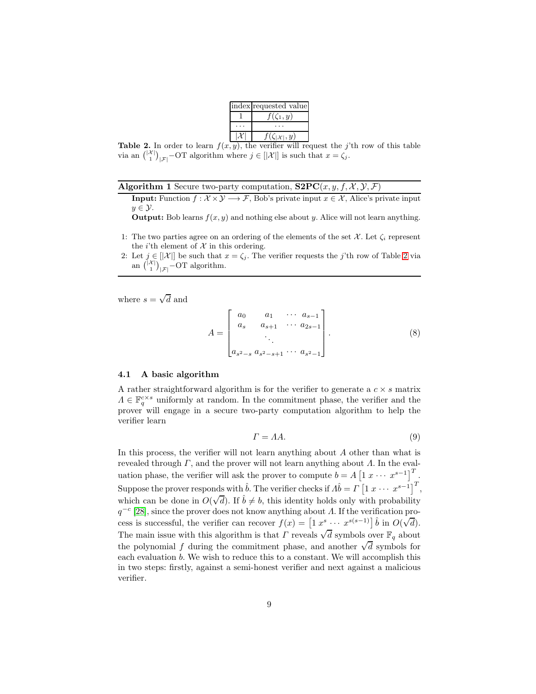| index requested value        |
|------------------------------|
| $f(\zeta_1,y)$               |
|                              |
| $f(\zeta_{ \mathcal{X} },y)$ |
|                              |

<span id="page-8-0"></span>**Table 2.** In order to learn  $f(x, y)$ , the verifier will request the j'th row of this table via an  $\binom{|X|}{1}_{|\mathcal{F}|}$  – OT algorithm where  $j \in [X]$  is such that  $x = \zeta_j$ .

|  | <b>Algorithm 1</b> Secure two-party computation, $S2PC(x, y, f, \mathcal{X}, \mathcal{Y}, \mathcal{F})$ |  |  |  |  |  |  |  |
|--|---------------------------------------------------------------------------------------------------------|--|--|--|--|--|--|--|
|--|---------------------------------------------------------------------------------------------------------|--|--|--|--|--|--|--|

**Input:** Function  $f: \mathcal{X} \times \mathcal{Y} \longrightarrow \mathcal{F}$ , Bob's private input  $x \in \mathcal{X}$ , Alice's private input  $y \in \mathcal{Y}$ .

**Output:** Bob learns  $f(x, y)$  and nothing else about y. Alice will not learn anything.

- 1: The two parties agree on an ordering of the elements of the set  $\mathcal{X}$ . Let  $\zeta_i$  represent the *i*'th element of  $X$  in this ordering.
- 2: Let  $j \in ||\mathcal{X}||$  be such that  $x = \zeta_j$ . The verifier requests the j'th row of Table [2](#page-8-0) via an  $\binom{|\mathcal{X}|}{1}_{|\mathcal{F}|}$ -OT algorithm.

where  $s = \sqrt{d}$  and

$$
A = \begin{bmatrix} a_0 & a_1 & \cdots & a_{s-1} \\ a_s & a_{s+1} & \cdots & a_{2s-1} \\ \vdots & \vdots & \ddots & \vdots \\ a_{s^2-s} & a_{s^2-s+1} & \cdots & a_{s^2-1} \end{bmatrix} . \tag{8}
$$

### 4.1 A basic algorithm

A rather straightforward algorithm is for the verifier to generate a  $c \times s$  matrix  $\Lambda \in \mathbb{F}_q^{c \times s}$  uniformly at random. In the commitment phase, the verifier and the prover will engage in a secure two-party computation algorithm to help the verifier learn

<span id="page-8-2"></span><span id="page-8-1"></span>
$$
\Gamma = AA.
$$
\n(9)

In this process, the verifier will not learn anything about  $A$  other than what is revealed through  $\Gamma$ , and the prover will not learn anything about  $\Lambda$ . In the evaluation phase, the verifier will ask the prover to compute  $b = A \begin{bmatrix} 1 & x & \cdots & x^{s-1} \end{bmatrix}^T$ . Suppose the prover responds with  $\hat{b}$ . The verifier checks if  $\Lambda \hat{b} = \Gamma \left[1 \ x \ \cdots \ x^{s-1}\right]^T$ , which can be done in  $O(\sqrt{d})$ . If  $\hat{b} \neq b$ , this identity holds only with probability  $q^{-c}$  [\[28\]](#page-19-16), since the prover does not know anything about  $\Lambda$ . If the verification process is successful, the verifier can recover  $f(x) = \left[1 x^s \cdots x^{s(s-1)}\right] \hat{b}$  in  $O(\sqrt{d})$ . The main issue with this algorithm is that  $\Gamma$  reveals  $\sqrt{d}$  symbols over  $\mathbb{F}_q$  about the polynomial f during the commitment phase, and another  $\sqrt{d}$  symbols for each evaluation b. We wish to reduce this to a constant. We will accomplish this in two steps: firstly, against a semi-honest verifier and next against a malicious verifier.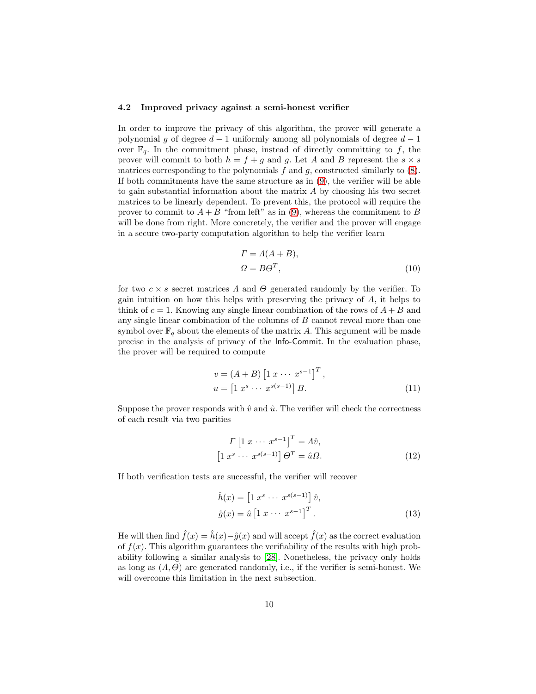#### 4.2 Improved privacy against a semi-honest verifier

In order to improve the privacy of this algorithm, the prover will generate a polynomial g of degree  $d-1$  uniformly among all polynomials of degree  $d-1$ over  $\mathbb{F}_q$ . In the commitment phase, instead of directly committing to f, the prover will commit to both  $h = f + g$  and g. Let A and B represent the  $s \times s$ matrices corresponding to the polynomials  $f$  and  $g$ , constructed similarly to  $(8)$ . If both commitments have the same structure as in [\(9\)](#page-8-2), the verifier will be able to gain substantial information about the matrix  $A$  by choosing his two secret matrices to be linearly dependent. To prevent this, the protocol will require the prover to commit to  $A + B$  "from left" as in [\(9\)](#page-8-2), whereas the commitment to B will be done from right. More concretely, the verifier and the prover will engage in a secure two-party computation algorithm to help the verifier learn

$$
\Gamma = A(A + B),
$$
  
\n
$$
\Omega = B\Theta^T,
$$
\n(10)

for two  $c \times s$  secret matrices  $\Lambda$  and  $\Theta$  generated randomly by the verifier. To gain intuition on how this helps with preserving the privacy of  $A$ , it helps to think of  $c = 1$ . Knowing any single linear combination of the rows of  $A + B$  and any single linear combination of the columns of B cannot reveal more than one symbol over  $\mathbb{F}_q$  about the elements of the matrix A. This argument will be made precise in the analysis of privacy of the Info-Commit. In the evaluation phase, the prover will be required to compute

$$
v = (A + B) [1 x \cdots x^{s-1}]^{T},
$$
  
\n
$$
u = [1 x^{s} \cdots x^{s(s-1)}] B.
$$
\n(11)

Suppose the prover responds with  $\hat{v}$  and  $\hat{u}$ . The verifier will check the correctness of each result via two parities

$$
\Gamma \left[ 1 \ x \cdots \ x^{s-1} \right]^T = \Lambda \hat{v},
$$
  
\n
$$
\left[ 1 \ x^s \ \cdots \ x^{s(s-1)} \right] \Theta^T = \hat{u} \Omega.
$$
 (12)

If both verification tests are successful, the verifier will recover

$$
\hat{h}(x) = \left[1 \ x^s \ \cdots \ x^{s(s-1)}\right] \hat{v},
$$

$$
\hat{g}(x) = \hat{u} \left[1 \ x \ \cdots \ x^{s-1}\right]^T.
$$
\n(13)

He will then find  $\hat{f}(x) = \hat{h}(x) - \hat{q}(x)$  and will accept  $\hat{f}(x)$  as the correct evaluation of  $f(x)$ . This algorithm guarantees the verifiability of the results with high probability following a similar analysis to [\[28\]](#page-19-16). Nonetheless, the privacy only holds as long as  $(A, \Theta)$  are generated randomly, i.e., if the verifier is semi-honest. We will overcome this limitation in the next subsection.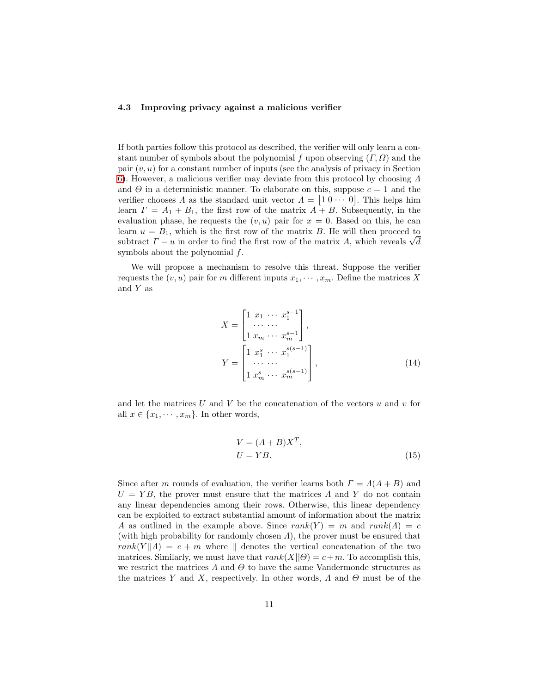#### 4.3 Improving privacy against a malicious verifier

If both parties follow this protocol as described, the verifier will only learn a constant number of symbols about the polynomial f upon observing  $(\Gamma, \Omega)$  and the pair  $(v, u)$  for a constant number of inputs (see the analysis of privacy in Section [6\)](#page-14-0). However, a malicious verifier may deviate from this protocol by choosing Λ and  $\Theta$  in a deterministic manner. To elaborate on this, suppose  $c = 1$  and the verifier chooses  $\Lambda$  as the standard unit vector  $\Lambda = [1 \ 0 \ \cdots \ 0]$ . This helps him learn  $\Gamma = A_1 + B_1$ , the first row of the matrix  $A + B$ . Subsequently, in the evaluation phase, he requests the  $(v, u)$  pair for  $x = 0$ . Based on this, he can learn  $u = B_1$ , which is the first row of the matrix B. He will then proceed to subtract  $\Gamma - u$  in order to find the first row of the matrix A, which reveals  $\sqrt{d}$ symbols about the polynomial f.

We will propose a mechanism to resolve this threat. Suppose the verifier requests the  $(v, u)$  pair for m different inputs  $x_1, \dots, x_m$ . Define the matrices X and  $Y$  as

$$
X = \begin{bmatrix} 1 & x_1 & \cdots & x_1^{s-1} \\ \cdots & \cdots & & \\ 1 & x_m & \cdots & x_m^{s-1} \end{bmatrix},
$$
  
\n
$$
Y = \begin{bmatrix} 1 & x_1^s & \cdots & x_1^{s(s-1)} \\ \cdots & \cdots & & \\ 1 & x_m^s & \cdots & x_m^{s(s-1)} \end{bmatrix},
$$
 (14)

and let the matrices  $U$  and  $V$  be the concatenation of the vectors  $u$  and  $v$  for all  $x \in \{x_1, \dots, x_m\}$ . In other words,

<span id="page-10-1"></span><span id="page-10-0"></span>
$$
V = (A + B)XT,
$$
  
\n
$$
U = YB.
$$
\n(15)

Since after m rounds of evaluation, the verifier learns both  $\Gamma = \Lambda(A + B)$  and  $U = YB$ , the prover must ensure that the matrices  $\Lambda$  and Y do not contain any linear dependencies among their rows. Otherwise, this linear dependency can be exploited to extract substantial amount of information about the matrix A as outlined in the example above. Since  $rank(Y) = m$  and  $rank(\Lambda) = c$ (with high probability for randomly chosen  $\Lambda$ ), the prover must be ensured that  $rank(Y||A) = c + m$  where || denotes the vertical concatenation of the two matrices. Similarly, we must have that  $rank(X||\Theta) = c+m$ . To accomplish this, we restrict the matrices  $\Lambda$  and  $\Theta$  to have the same Vandermonde structures as the matrices Y and X, respectively. In other words,  $\Lambda$  and  $\Theta$  must be of the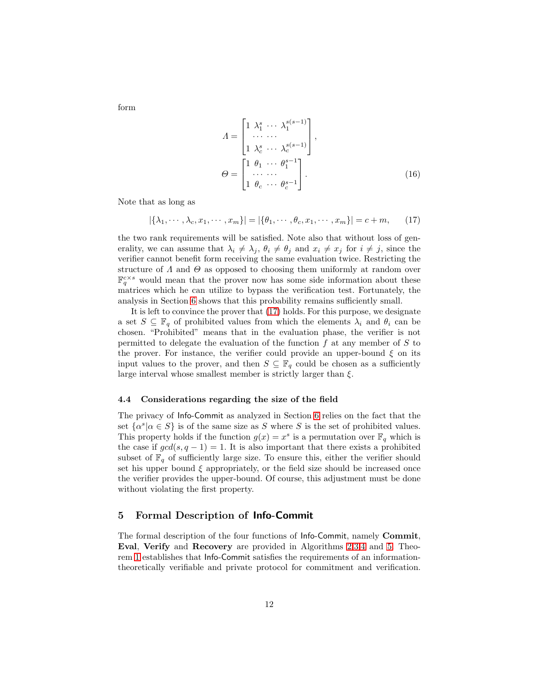<span id="page-11-2"></span><span id="page-11-0"></span> $\Lambda =$  $\lceil$  $\overline{\phantom{a}}$  $1 \lambda_1^s \cdots \lambda_1^{s(s-1)}$ · · · · · ·  $1 \lambda_c^s \cdots \lambda_c^{s(s-1)}$ 1  $\vert \cdot$  $\varTheta =$  $\lceil$  $\overline{1}$  $1 \theta_1 \cdots \theta_1^{s-1}$ · · · · · ·  $1 \theta_c \cdots \theta_c^{s-1}$ 1  $\left| \begin{array}{ccc} \cdot & \quad & \quad & \quad (16) \end{array} \right|$ 

Note that as long as

$$
|\{\lambda_1, \cdots, \lambda_c, x_1, \cdots, x_m\}| = |\{\theta_1, \cdots, \theta_c, x_1, \cdots, x_m\}| = c + m,
$$
 (17)

the two rank requirements will be satisfied. Note also that without loss of generality, we can assume that  $\lambda_i \neq \lambda_j$ ,  $\theta_i \neq \theta_j$  and  $x_i \neq x_j$  for  $i \neq j$ , since the verifier cannot benefit form receiving the same evaluation twice. Restricting the structure of  $\Lambda$  and  $\Theta$  as opposed to choosing them uniformly at random over  $\mathbb{F}_q^{c \times s}$  would mean that the prover now has some side information about these matrices which he can utilize to bypass the verification test. Fortunately, the analysis in Section [6](#page-14-0) shows that this probability remains sufficiently small.

It is left to convince the prover that [\(17\)](#page-11-0) holds. For this purpose, we designate a set  $S \subseteq \mathbb{F}_q$  of prohibited values from which the elements  $\lambda_i$  and  $\theta_i$  can be chosen. "Prohibited" means that in the evaluation phase, the verifier is not permitted to delegate the evaluation of the function  $f$  at any member of  $S$  to the prover. For instance, the verifier could provide an upper-bound  $\xi$  on its input values to the prover, and then  $S \subseteq \mathbb{F}_q$  could be chosen as a sufficiently large interval whose smallest member is strictly larger than  $\xi$ .

#### 4.4 Considerations regarding the size of the field

The privacy of Info-Commit as analyzed in Section [6](#page-14-0) relies on the fact that the set  $\{\alpha^s | \alpha \in S\}$  is of the same size as S where S is the set of prohibited values. This property holds if the function  $g(x) = x^s$  is a permutation over  $\mathbb{F}_q$  which is the case if  $gcd(s, q - 1) = 1$ . It is also important that there exists a prohibited subset of  $\mathbb{F}_q$  of sufficiently large size. To ensure this, either the verifier should set his upper bound  $\xi$  appropriately, or the field size should be increased once the verifier provides the upper-bound. Of course, this adjustment must be done without violating the first property.

## 5 Formal Description of Info-Commit

<span id="page-11-1"></span>The formal description of the four functions of Info-Commit, namely Commit, Eval, Verify and Recovery are provided in Algorithms [2,](#page-12-0)[3,](#page-13-0)[4](#page-13-1) and [5.](#page-13-2) Theorem [1](#page-11-1) establishes that Info-Commit satisfies the requirements of an informationtheoretically verifiable and private protocol for commitment and verification.

form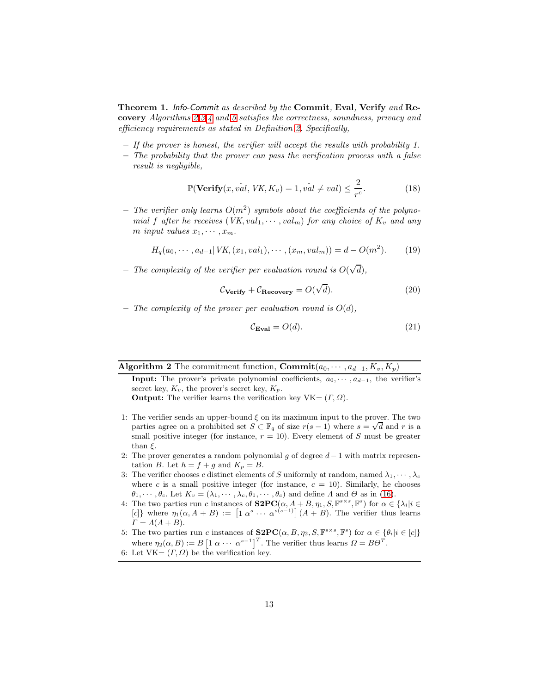Theorem 1. Info-Commit as described by the Commit, Eval, Verify and Recovery Algorithms [2,](#page-12-0)[3](#page-13-0)[,4](#page-13-1) and [5](#page-13-2) satisfies the correctness, soundness, privacy and efficiency requirements as stated in Definition [2.](#page-4-0) Specifically,

- If the prover is honest, the verifier will accept the results with probability 1.
- $-$  The probability that the prover can pass the verification process with a false result is negligible,

$$
\mathbb{P}(\text{Verify}(x, \hat{val}, \text{VK}, K_v) = 1, \hat{val} \neq val) \leq \frac{2}{r^c}.\tag{18}
$$

- The verifier only learns  $O(m^2)$  symbols about the coefficients of the polynomial f after he receives  $(VK, val_1, \dots, val_m)$  for any choice of  $K_v$  and any m input values  $x_1, \cdots, x_m$ .

$$
H_q(a_0, \cdots, a_{d-1} | VK, (x_1, val_1), \cdots, (x_m, val_m)) = d - O(m^2).
$$
 (19)

- The complexity of the verifier per evaluation round is  $O(\sqrt{d})$ ,

$$
\mathcal{C}_{\text{Verify}} + \mathcal{C}_{\text{Recovery}} = O(\sqrt{d}).\tag{20}
$$

– The complexity of the prover per evaluation round is  $O(d)$ ,

$$
\mathcal{C}_{\mathbf{Eval}} = O(d). \tag{21}
$$

<span id="page-12-0"></span>Algorithm 2 The commitment function,  $\text{Commit}(a_0, \dots, a_{d-1}, K_v, K_p)$ 

**Input:** The prover's private polynomial coefficients,  $a_0, \dots, a_{d-1}$ , the verifier's secret key,  $K_v$ , the prover's secret key,  $K_p$ .

**Output:** The verifier learns the verification key  $VK = (T, \Omega)$ .

- 1: The verifier sends an upper-bound  $\xi$  on its maximum input to the prover. The two parties agree on a prohibited set  $S \subset \mathbb{F}_q$  of size  $r(s-1)$  where  $s = \sqrt{d}$  and r is a small positive integer (for instance,  $r = 10$ ). Every element of S must be greater than  $\xi$ .
- 2: The prover generates a random polynomial q of degree  $d-1$  with matrix representation B. Let  $h = f + g$  and  $K_p = B$ .
- 3: The verifier chooses c distinct elements of S uniformly at random, named  $\lambda_1, \cdots, \lambda_c$ where c is a small positive integer (for instance,  $c = 10$ ). Similarly, he chooses  $\theta_1, \cdots, \theta_c$ . Let  $K_v = (\lambda_1, \cdots, \lambda_c, \theta_1, \cdots, \theta_c)$  and define  $\Lambda$  and  $\Theta$  as in [\(16\)](#page-11-2).
- 4: The two parties run c instances of  $S2PC(\alpha, A + B, \eta_1, S, \mathbb{F}^{s \times s}, \mathbb{F}^s)$  for  $\alpha \in \{\lambda_i | i \in \mathbb{F}^s\}$ [c]} where  $\eta_1(\alpha, A + B) := [1 \alpha^s \cdots \alpha^{s(s-1)}] (A + B)$ . The verifier thus learns  $\Gamma = A(A + B).$
- 5: The two parties run c instances of  $S2PC(\alpha, B, \eta_2, S, \mathbb{F}^{s \times s}, \mathbb{F}^s)$  for  $\alpha \in {\theta_i | i \in [c]}$ where  $\eta_2(\alpha, B) := B \left[ 1 \alpha \cdots \alpha^{s-1} \right]^T$ . The verifier thus learns  $\Omega = B\Theta^T$ .
- 6: Let  $VK = (T, \Omega)$  be the verification key.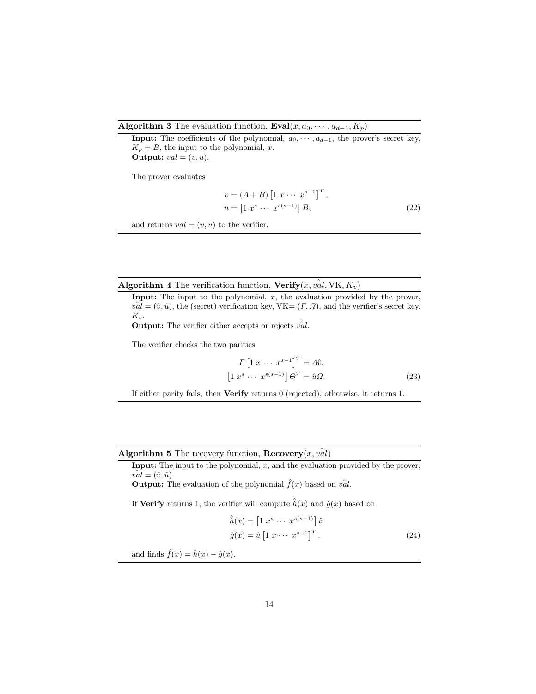### Algorithm 3 The evaluation function,  $\text{Eval}(x, a_0, \dots, a_{d-1}, K_p)$

**Input:** The coefficients of the polynomial,  $a_0, \dots, a_{d-1}$ , the prover's secret key,  $K_p = B$ , the input to the polynomial, x. **Output:**  $val = (v, u)$ .

The prover evaluates

<span id="page-13-0"></span>
$$
v = (A + B) [1 x \cdots x^{s-1}]^{T},
$$
  
\n
$$
u = [1 x^{s} \cdots x^{s(s-1)}] B,
$$
\n(22)

and returns  $val = (v, u)$  to the verifier.

Algorithm 4 The verification function,  $Verify(x, val, VK, K_v)$ 

Input: The input to the polynomial,  $x$ , the evaluation provided by the prover,  $v\hat{a}l = (\hat{v}, \hat{u})$ , the (secret) verification key, VK=  $(\Gamma, \Omega)$ , and the verifier's secret key,  $K_v$ .

**Output:** The verifier either accepts or rejects  $v\hat{a}l$ .

The verifier checks the two parities

<span id="page-13-1"></span>
$$
\Gamma \left[ 1 \; x \; \cdots \; x^{s-1} \right]^T = A \hat{v},
$$
\n
$$
\left[ 1 \; x^s \; \cdots \; x^{s(s-1)} \right] \Theta^T = \hat{u} \Omega.
$$
\n
$$
(23)
$$

If either parity fails, then Verify returns 0 (rejected), otherwise, it returns 1.

Algorithm 5 The recovery function,  $\textbf{Recovery}(x, val)$ 

**Input:** The input to the polynomial,  $x$ , and the evaluation provided by the prover,  $val = (\hat{v}, \hat{u}).$ 

**Output:** The evaluation of the polynomial  $\hat{f}(x)$  based on  $v\hat{a}l$ .

If **Verify** returns 1, the verifier will compute  $\hat{h}(x)$  and  $\hat{g}(x)$  based on

<span id="page-13-2"></span>
$$
\hat{h}(x) = \begin{bmatrix} 1 & x^s & \cdots & x^{s(s-1)} \end{bmatrix} \hat{v}
$$
\n
$$
\hat{g}(x) = \hat{u} \begin{bmatrix} 1 & x & \cdots & x^{s-1} \end{bmatrix}^T. \tag{24}
$$

and finds  $\hat{f}(x) = \hat{h}(x) - \hat{g}(x)$ .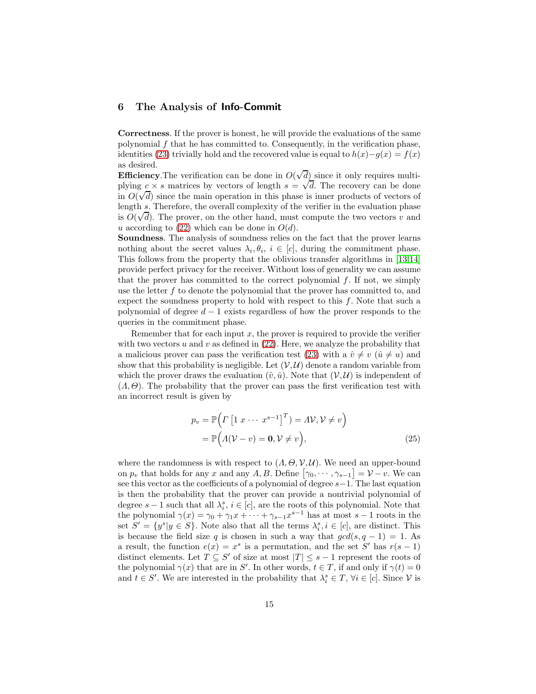## <span id="page-14-0"></span>6 The Analysis of Info-Commit

Correctness. If the prover is honest, he will provide the evaluations of the same polynomial  $f$  that he has committed to. Consequently, in the verification phase, identities [\(23\)](#page-13-1) trivially hold and the recovered value is equal to  $h(x)-g(x) = f(x)$ as desired.

**Efficiency**. The verification can be done in  $O(\sqrt{d})$  since it only requires multiplying  $c \times s$  matrices by vectors of length  $s = \sqrt{d}$ . The recovery can be done in  $O(\sqrt{d})$  since the main operation in this phase is inner products of vectors of  $O(\sqrt{d})$ length s. Therefore, the overall complexity of the verifier in the evaluation phase is  $O(\sqrt{d})$ . The prover, on the other hand, must compute the two vectors v and u according to [\(22\)](#page-13-0) which can be done in  $O(d)$ .

Soundness. The analysis of soundness relies on the fact that the prover learns nothing about the secret values  $\lambda_i, \theta_i, i \in [c]$ , during the commitment phase. This follows from the property that the oblivious transfer algorithms in [\[13](#page-19-1)[,14\]](#page-19-2) provide perfect privacy for the receiver. Without loss of generality we can assume that the prover has committed to the correct polynomial  $f$ . If not, we simply use the letter  $f$  to denote the polynomial that the prover has committed to, and expect the soundness property to hold with respect to this  $f$ . Note that such a polynomial of degree  $d-1$  exists regardless of how the prover responds to the queries in the commitment phase.

Remember that for each input  $x$ , the prover is required to provide the verifier with two vectors u and v as defined in  $(22)$ . Here, we analyze the probability that a malicious prover can pass the verification test [\(23\)](#page-13-1) with a  $\hat{v} \neq v$  ( $\hat{u} \neq u$ ) and show that this probability is negligible. Let  $(V, U)$  denote a random variable from which the prover draws the evaluation  $(\hat{v}, \hat{u})$ . Note that  $(V, U)$  is independent of  $(A, \Theta)$ . The probability that the prover can pass the first verification test with an incorrect result is given by

$$
p_v = \mathbb{P}\Big(\Gamma\left[1 \; x \; \cdots \; x^{s-1}\right]^T\Big) = A\mathcal{V}, \mathcal{V} \neq v\Big)
$$
  
=  $\mathbb{P}\Big(A(\mathcal{V} - v) = \mathbf{0}, \mathcal{V} \neq v\Big),$  (25)

where the randomness is with respect to  $(A, \Theta, \mathcal{V}, \mathcal{U})$ . We need an upper-bound on  $p_v$  that holds for any x and any A, B. Define  $[\gamma_0, \cdots, \gamma_{s-1}] = \mathcal{V} - v$ . We can see this vector as the coefficients of a polynomial of degree s−1. The last equation is then the probability that the prover can provide a nontrivial polynomial of degree  $s-1$  such that all  $\lambda_i^s$ ,  $i \in [c]$ , are the roots of this polynomial. Note that the polynomial  $\gamma(x) = \gamma_0 + \gamma_1 x + \cdots + \gamma_{s-1} x^{s-1}$  has at most  $s-1$  roots in the set  $S' = \{y^s | y \in S\}$ . Note also that all the terms  $\lambda_i^s, i \in [c]$ , are distinct. This is because the field size q is chosen in such a way that  $gcd(s, q - 1) = 1$ . As a result, the function  $e(x) = x^s$  is a permutation, and the set S' has  $r(s-1)$ distinct elements. Let  $T \subseteq S'$  of size at most  $|T| \leq s - 1$  represent the roots of the polynomial  $\gamma(x)$  that are in S'. In other words,  $t \in T$ , if and only if  $\gamma(t) = 0$ and  $t \in S'$ . We are interested in the probability that  $\lambda_i^s \in T$ ,  $\forall i \in [c]$ . Since  $\mathcal V$  is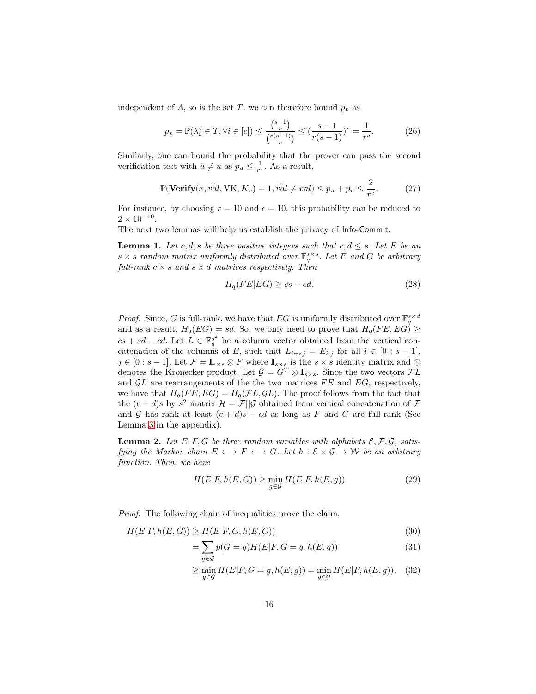independent of  $\Lambda$ , so is the set T, we can therefore bound  $p_v$  as

$$
p_v = \mathbb{P}(\lambda_i^s \in T, \forall i \in [c]) \le \frac{\binom{s-1}{c}}{\binom{r(s-1)}{c}} \le \frac{(s-1)}{r(s-1)}\binom{c}{r} = \frac{1}{r^c}.\tag{26}
$$

Similarly, one can bound the probability that the prover can pass the second verification test with  $\hat{u} \neq u$  as  $p_u \leq \frac{1}{r^c}$ . As a result,

$$
\mathbb{P}(\text{Verify}(x, \hat{val}, \text{VK}, K_v) = 1, \hat{val} \neq val) \leq p_u + p_v \leq \frac{2}{r^c}.\tag{27}
$$

For instance, by choosing  $r = 10$  and  $c = 10$ , this probability can be reduced to  $2 \times 10^{-10}$ .

The next two lemmas will help us establish the privacy of Info-Commit.

**Lemma 1.** Let c, d, s be three positive integers such that  $c, d \leq s$ . Let E be an  $s \times s$  random matrix uniformly distributed over  $\mathbb{F}_q^{s \times s}$ . Let F and G be arbitrary full-rank  $c \times s$  and  $s \times d$  matrices respectively. Then

<span id="page-15-0"></span>
$$
H_q(FE|EG) \ge cs - cd.
$$
\n(28)

*Proof.* Since, G is full-rank, we have that EG is uniformly distributed over  $\mathbb{F}_q^{s \times d}$ and as a result,  $H_q(EG) = sd$ . So, we only need to prove that  $H_q(FE, EG) \ge$  $cs + sd - cd$ . Let  $\overline{L} \in \mathbb{F}_q^{s^2}$  be a column vector obtained from the vertical concatenation of the columns of E, such that  $L_{i+sj} = E_{i,j}$  for all  $i \in [0 : s-1]$ ,  $j \in [0:s-1]$ . Let  $\mathcal{F} = \mathbf{I}_{s \times s} \otimes F$  where  $\mathbf{I}_{s \times s}$  is the  $s \times s$  identity matrix and  $\otimes$ denotes the Kronecker product. Let  $\mathcal{G} = G^T \otimes \mathbf{I}_{s \times s}$ . Since the two vectors  $\mathcal{F}L$ and  $GL$  are rearrangements of the the two matrices  $FE$  and  $EG$ , respectively, we have that  $H_q(FE, EG) = H_q(\mathcal{F}L, \mathcal{G}L)$ . The proof follows from the fact that the  $(c+d)s$  by  $s^2$  matrix  $\mathcal{H} = \mathcal{F}||\mathcal{G}$  obtained from vertical concatenation of  $\mathcal{F}$ and G has rank at least  $(c + d)s - cd$  as long as F and G are full-rank (See Lemma [3](#page-20-3) in the appendix).

**Lemma 2.** Let E, F, G be three random variables with alphabets  $\mathcal{E}, \mathcal{F}, \mathcal{G}$ , satisfying the Markov chain  $E \leftrightarrow F \leftrightarrow G$ . Let  $h : \mathcal{E} \times \mathcal{G} \rightarrow \mathcal{W}$  be an arbitrary function. Then, we have

<span id="page-15-1"></span>
$$
H(E|F, h(E, G)) \ge \min_{g \in \mathcal{G}} H(E|F, h(E, g))
$$
\n(29)

Proof. The following chain of inequalities prove the claim.

$$
H(E|F, h(E, G)) \ge H(E|F, G, h(E, G))
$$
\n<sup>(30)</sup>

$$
=\sum_{g\in\mathcal{G}}p(G=g)H(E|F,G=g,h(E,g))\tag{31}
$$

$$
\geq \min_{g \in \mathcal{G}} H(E|F, G = g, h(E, g)) = \min_{g \in \mathcal{G}} H(E|F, h(E, g)). \quad (32)
$$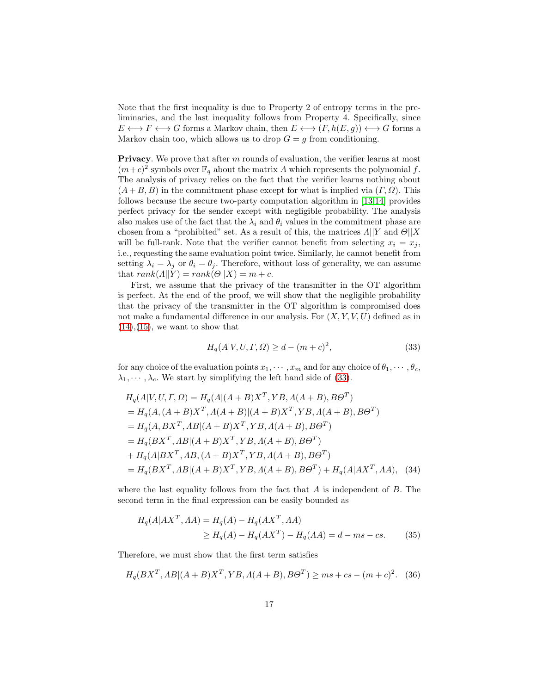Note that the first inequality is due to Property 2 of entropy terms in the preliminaries, and the last inequality follows from Property 4. Specifically, since  $E \longleftrightarrow F \longleftrightarrow G$  forms a Markov chain, then  $E \longleftrightarrow (F, h(E, g)) \longleftrightarrow G$  forms a Markov chain too, which allows us to drop  $G = g$  from conditioning.

**Privacy**. We prove that after m rounds of evaluation, the verifier learns at most  $(m+c)^2$  symbols over  $\mathbb{F}_q$  about the matrix A which represents the polynomial f. The analysis of privacy relies on the fact that the verifier learns nothing about  $(A + B, B)$  in the commitment phase except for what is implied via  $(\Gamma, \Omega)$ . This follows because the secure two-party computation algorithm in [\[13](#page-19-1)[,14\]](#page-19-2) provides perfect privacy for the sender except with negligible probability. The analysis also makes use of the fact that the  $\lambda_i$  and  $\theta_i$  values in the commitment phase are chosen from a "prohibited" set. As a result of this, the matrices  $\Lambda || Y$  and  $\Theta || X$ will be full-rank. Note that the verifier cannot benefit from selecting  $x_i = x_j$ , i.e., requesting the same evaluation point twice. Similarly, he cannot benefit from setting  $\lambda_i = \lambda_j$  or  $\theta_i = \theta_j$ . Therefore, without loss of generality, we can assume that  $rank(A||Y) = rank(\Theta||X) = m + c$ .

First, we assume that the privacy of the transmitter in the OT algorithm is perfect. At the end of the proof, we will show that the negligible probability that the privacy of the transmitter in the OT algorithm is compromised does not make a fundamental difference in our analysis. For  $(X, Y, V, U)$  defined as in  $(14),(15)$  $(14),(15)$  $(14),(15)$ , we want to show that

<span id="page-16-0"></span>
$$
H_q(A|V, U, \Gamma, \Omega) \ge d - (m + c)^2,
$$
\n(33)

for any choice of the evaluation points  $x_1, \dots, x_m$  and for any choice of  $\theta_1, \dots, \theta_c$ ,  $\lambda_1, \dots, \lambda_c$ . We start by simplifying the left hand side of [\(33\)](#page-16-0).

$$
H_q(A|V, U, \Gamma, \Omega) = H_q(A|(A + B)X^T, YB, A(A + B), B\Theta^T)
$$
  
=  $H_q(A, (A + B)X^T, A(A + B)|(A + B)X^T, YB, A(A + B), B\Theta^T)$   
=  $H_q(A, BX^T, AB|(A + B)X^T, YB, A(A + B), B\Theta^T)$   
=  $H_q(BX^T, AB|(A + B)X^T, YB, A(A + B), B\Theta^T)$   
+  $H_q(A|BX^T, AB, (A + B)X^T, YB, A(A + B), B\Theta^T)$   
=  $H_q(BX^T, AB|(A + B)X^T, YB, A(A + B), B\Theta^T) + H_q(A|AX^T, AA),$  (34)

where the last equality follows from the fact that  $A$  is independent of  $B$ . The second term in the final expression can be easily bounded as

$$
H_q(A|AX^T, AA) = H_q(A) - H_q(AX^T, AA)
$$
  
\n
$$
\ge H_q(A) - H_q(AX^T) - H_q(AA) = d - ms - cs.
$$
 (35)

Therefore, we must show that the first term satisfies

$$
H_q(BX^T, AB|(A+B)X^T, YB, A(A+B), B\Theta^T) \ge ms + cs - (m+c)^2. \tag{36}
$$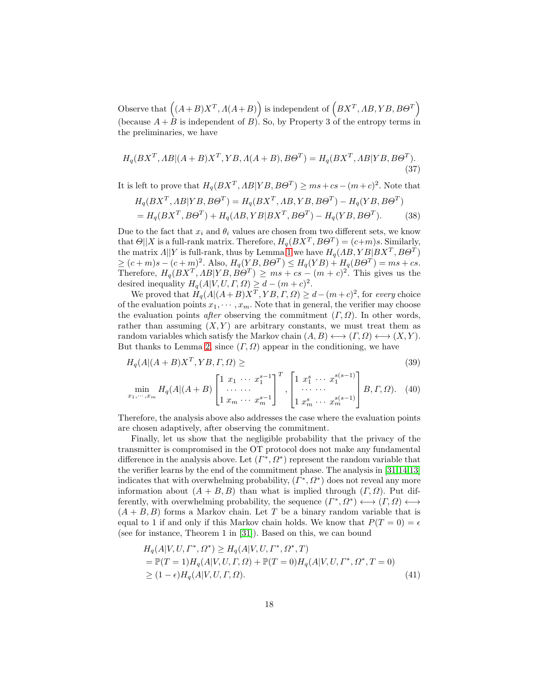Observe that  $((A+B)X^T, \Lambda(A+B))$  is independent of  $(BX^T, AB, YB, B\Theta^T)$ (because  $A + B$  is independent of B). So, by Property 3 of the entropy terms in the preliminaries, we have

$$
H_q(BX^T, AB|(A+B)X^T, YB, A(A+B), B\Theta^T) = H_q(BX^T, AB|YB, B\Theta^T).
$$
\n(37)

It is left to prove that  $H_q(BX^T, AB|YB, B\Theta^T) \geq ms + cs - (m+c)^2$ . Note that

$$
H_q(BX^T, AB|YB, B\Theta^T) = H_q(BX^T, AB, YB, B\Theta^T) - H_q(YB, B\Theta^T)
$$
  
=  $H_q(BX^T, B\Theta^T) + H_q(AB, YB|BX^T, B\Theta^T) - H_q(YB, B\Theta^T).$  (38)

Due to the fact that  $x_i$  and  $\theta_i$  values are chosen from two different sets, we know that  $\Theta||X$  is a full-rank matrix. Therefore,  $H_q(BX^T, B\Theta^T) = (c+m)s$ . Similarly, the matrix  $\Lambda || Y$  is full-rank, thus by Lemma [1](#page-15-0) we have  $H_q(\Lambda B, Y B | BX^T, B\Theta^T)$  $\geq (c+m)s - (c+m)^2$ . Also,  $H_q(YB, B\Theta^T) \leq H_q(YB) + H_q(B\Theta^T) = ms + cs.$ Therefore,  $H_q(BX^T, AB|YB, B\Theta^T) \geq ms + cs - (m+c)^2$ . This gives us the desired inequality  $H_q(A|V, U, \Gamma, \Omega) \geq d - (m + c)^2$ .

We proved that  $H_q(A|(A+B)X^T, YB, \Gamma, \Omega) \geq d - (m+c)^2$ , for every choice of the evaluation points  $x_1, \dots, x_m$ . Note that in general, the verifier may choose the evaluation points *after* observing the commitment  $(\Gamma, \Omega)$ . In other words, rather than assuming  $(X, Y)$  are arbitrary constants, we must treat them as random variables which satisfy the Markov chain  $(A, B) \longleftrightarrow (T, \Omega) \longleftrightarrow (X, Y)$ . But thanks to Lemma [2,](#page-15-1) since  $(\Gamma, \Omega)$  appear in the conditioning, we have

$$
H_q(A|(A+B)X^T, YB, \Gamma, \Omega) \ge \tag{39}
$$
\n
$$
\left[1 \ x_1 \ \cdots \ x_{s-1}^{s-1} \right]^T \left[1 \ x_1^s \ \cdots \ x_{s}^{s(s-1)}\right]
$$

$$
\min_{x_1, \cdots, x_m} H_q(A | (A + B) \begin{bmatrix} 1 & x_1 & \cdots & x_1^{s-1} \\ \cdots & \cdots & \cdots \\ 1 & x_m & \cdots & x_m^{s-1} \end{bmatrix}^T, \begin{bmatrix} 1 & x_1^s & \cdots & x_1^{s(s-1)} \\ \cdots & \cdots & \cdots \\ 1 & x_m^s & \cdots & x_m^{s(s-1)} \end{bmatrix} B, \Gamma, \Omega). \quad (40)
$$

Therefore, the analysis above also addresses the case where the evaluation points are chosen adaptively, after observing the commitment.

Finally, let us show that the negligible probability that the privacy of the transmitter is compromised in the OT protocol does not make any fundamental difference in the analysis above. Let  $(\Gamma^*, \Omega^*)$  represent the random variable that the verifier learns by the end of the commitment phase. The analysis in [\[31](#page-20-0)[,14,](#page-19-2)[13\]](#page-19-1) indicates that with overwhelming probability,  $(\Gamma^*, \Omega^*)$  does not reveal any more information about  $(A + B, B)$  than what is implied through  $(\Gamma, \Omega)$ . Put differently, with overwhelming probability, the sequence  $(\Gamma^*, \Omega^*) \longleftrightarrow (\Gamma, \Omega) \longleftrightarrow$  $(A + B, B)$  forms a Markov chain. Let T be a binary random variable that is equal to 1 if and only if this Markov chain holds. We know that  $P(T = 0) = \epsilon$ (see for instance, Theorem 1 in [\[31\]](#page-20-0)). Based on this, we can bound

$$
H_q(A|V, U, \Gamma^*, \Omega^*) \ge H_q(A|V, U, \Gamma^*, \Omega^*, T)
$$
  
=  $\mathbb{P}(T = 1)H_q(A|V, U, \Gamma, \Omega) + \mathbb{P}(T = 0)H_q(A|V, U, \Gamma^*, \Omega^*, T = 0)$   
 $\ge (1 - \epsilon)H_q(A|V, U, \Gamma, \Omega).$  (41)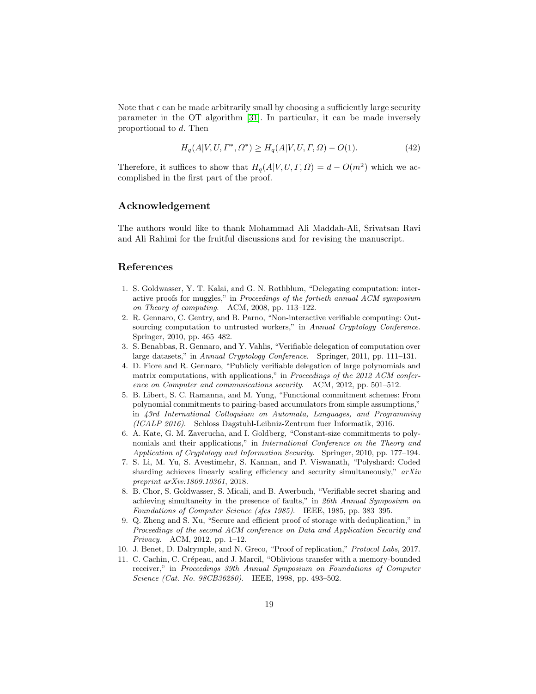Note that  $\epsilon$  can be made arbitrarily small by choosing a sufficiently large security parameter in the OT algorithm [\[31\]](#page-20-0). In particular, it can be made inversely proportional to d. Then

$$
H_q(A|V, U, \Gamma^*, \Omega^*) \ge H_q(A|V, U, \Gamma, \Omega) - O(1). \tag{42}
$$

Therefore, it suffices to show that  $H_q(A|V, U, \Gamma, \Omega) = d - O(m^2)$  which we accomplished in the first part of the proof.

## Acknowledgement

The authors would like to thank Mohammad Ali Maddah-Ali, Srivatsan Ravi and Ali Rahimi for the fruitful discussions and for revising the manuscript.

# <span id="page-18-0"></span>References

- 1. S. Goldwasser, Y. T. Kalai, and G. N. Rothblum, "Delegating computation: interactive proofs for muggles," in *Proceedings of the fortieth annual ACM symposium on Theory of computing*. ACM, 2008, pp. 113–122.
- <span id="page-18-1"></span>2. R. Gennaro, C. Gentry, and B. Parno, "Non-interactive verifiable computing: Outsourcing computation to untrusted workers," in *Annual Cryptology Conference*. Springer, 2010, pp. 465–482.
- <span id="page-18-2"></span>3. S. Benabbas, R. Gennaro, and Y. Vahlis, "Verifiable delegation of computation over large datasets," in *Annual Cryptology Conference*. Springer, 2011, pp. 111–131.
- <span id="page-18-3"></span>4. D. Fiore and R. Gennaro, "Publicly verifiable delegation of large polynomials and matrix computations, with applications," in *Proceedings of the 2012 ACM conference on Computer and communications security*. ACM, 2012, pp. 501–512.
- <span id="page-18-4"></span>5. B. Libert, S. C. Ramanna, and M. Yung, "Functional commitment schemes: From polynomial commitments to pairing-based accumulators from simple assumptions," in *43rd International Colloquium on Automata, Languages, and Programming (ICALP 2016)*. Schloss Dagstuhl-Leibniz-Zentrum fuer Informatik, 2016.
- <span id="page-18-5"></span>6. A. Kate, G. M. Zaverucha, and I. Goldberg, "Constant-size commitments to polynomials and their applications," in *International Conference on the Theory and Application of Cryptology and Information Security*. Springer, 2010, pp. 177–194.
- <span id="page-18-6"></span>7. S. Li, M. Yu, S. Avestimehr, S. Kannan, and P. Viswanath, "Polyshard: Coded sharding achieves linearly scaling efficiency and security simultaneously," *arXiv preprint arXiv:1809.10361*, 2018.
- <span id="page-18-7"></span>8. B. Chor, S. Goldwasser, S. Micali, and B. Awerbuch, "Verifiable secret sharing and achieving simultaneity in the presence of faults," in *26th Annual Symposium on Foundations of Computer Science (sfcs 1985)*. IEEE, 1985, pp. 383–395.
- <span id="page-18-8"></span>9. Q. Zheng and S. Xu, "Secure and efficient proof of storage with deduplication," in *Proceedings of the second ACM conference on Data and Application Security and Privacy*. ACM, 2012, pp. 1–12.
- <span id="page-18-10"></span><span id="page-18-9"></span>10. J. Benet, D. Dalrymple, and N. Greco, "Proof of replication," *Protocol Labs*, 2017.
- 11. C. Cachin, C. Crépeau, and J. Marcil, "Oblivious transfer with a memory-bounded receiver," in *Proceedings 39th Annual Symposium on Foundations of Computer Science (Cat. No. 98CB36280)*. IEEE, 1998, pp. 493–502.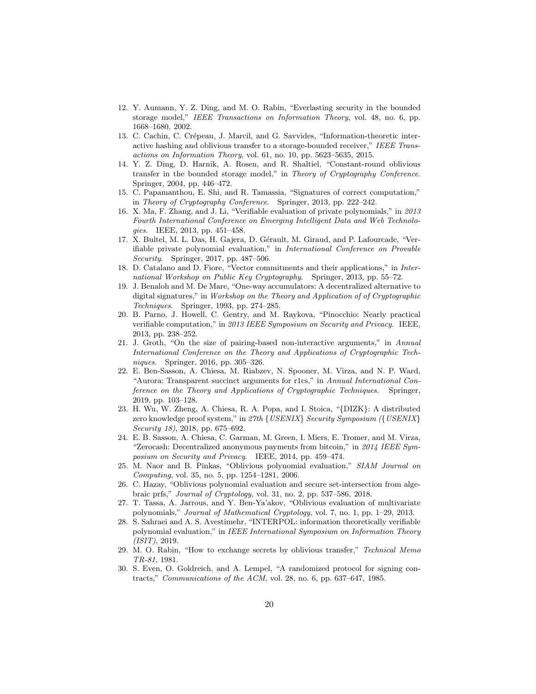- <span id="page-19-0"></span>12. Y. Aumann, Y. Z. Ding, and M. O. Rabin, "Everlasting security in the bounded storage model," *IEEE Transactions on Information Theory*, vol. 48, no. 6, pp. 1668–1680, 2002.
- <span id="page-19-1"></span>13. C. Cachin, C. Crépeau, J. Marcil, and G. Savvides, "Information-theoretic interactive hashing and oblivious transfer to a storage-bounded receiver," *IEEE Transactions on Information Theory*, vol. 61, no. 10, pp. 5623–5635, 2015.
- <span id="page-19-2"></span>14. Y. Z. Ding, D. Harnik, A. Rosen, and R. Shaltiel, "Constant-round oblivious transfer in the bounded storage model," in *Theory of Cryptography Conference*. Springer, 2004, pp. 446–472.
- <span id="page-19-3"></span>15. C. Papamanthou, E. Shi, and R. Tamassia, "Signatures of correct computation," in *Theory of Cryptography Conference*. Springer, 2013, pp. 222–242.
- <span id="page-19-4"></span>16. X. Ma, F. Zhang, and J. Li, "Verifiable evaluation of private polynomials," in *2013 Fourth International Conference on Emerging Intelligent Data and Web Technologies*. IEEE, 2013, pp. 451–458.
- <span id="page-19-5"></span>17. X. Bultel, M. L. Das, H. Gajera, D. Gérault, M. Giraud, and P. Lafourcade, "Verifiable private polynomial evaluation," in *International Conference on Provable Security*. Springer, 2017, pp. 487–506.
- <span id="page-19-6"></span>18. D. Catalano and D. Fiore, "Vector commitments and their applications," in *International Workshop on Public Key Cryptography*. Springer, 2013, pp. 55–72.
- <span id="page-19-7"></span>19. J. Benaloh and M. De Mare, "One-way accumulators: A decentralized alternative to digital signatures," in *Workshop on the Theory and Application of of Cryptographic Techniques*. Springer, 1993, pp. 274–285.
- <span id="page-19-8"></span>20. B. Parno, J. Howell, C. Gentry, and M. Raykova, "Pinocchio: Nearly practical verifiable computation," in *2013 IEEE Symposium on Security and Privacy*. IEEE, 2013, pp. 238–252.
- <span id="page-19-9"></span>21. J. Groth, "On the size of pairing-based non-interactive arguments," in *Annual International Conference on the Theory and Applications of Cryptographic Techniques*. Springer, 2016, pp. 305–326.
- <span id="page-19-10"></span>22. E. Ben-Sasson, A. Chiesa, M. Riabzev, N. Spooner, M. Virza, and N. P. Ward, "Aurora: Transparent succinct arguments for r1cs," in *Annual International Conference on the Theory and Applications of Cryptographic Techniques*. Springer, 2019, pp. 103–128.
- <span id="page-19-11"></span>23. H. Wu, W. Zheng, A. Chiesa, R. A. Popa, and I. Stoica, "{DIZK}: A distributed zero knowledge proof system," in *27th* {*USENIX*} *Security Symposium (*{*USENIX*} *Security 18)*, 2018, pp. 675–692.
- <span id="page-19-12"></span>24. E. B. Sasson, A. Chiesa, C. Garman, M. Green, I. Miers, E. Tromer, and M. Virza, "Zerocash: Decentralized anonymous payments from bitcoin," in *2014 IEEE Symposium on Security and Privacy*. IEEE, 2014, pp. 459–474.
- <span id="page-19-13"></span>25. M. Naor and B. Pinkas, "Oblivious polynomial evaluation," *SIAM Journal on Computing*, vol. 35, no. 5, pp. 1254–1281, 2006.
- <span id="page-19-14"></span>26. C. Hazay, "Oblivious polynomial evaluation and secure set-intersection from algebraic prfs," *Journal of Cryptology*, vol. 31, no. 2, pp. 537–586, 2018.
- <span id="page-19-15"></span>27. T. Tassa, A. Jarrous, and Y. Ben-Ya'akov, "Oblivious evaluation of multivariate polynomials," *Journal of Mathematical Cryptology*, vol. 7, no. 1, pp. 1–29, 2013.
- <span id="page-19-16"></span>28. S. Sahraei and A. S. Avestimehr, "INTERPOL: information theoretically verifiable polynomial evaluation," in *IEEE International Symposium on Information Theory (ISIT)*, 2019.
- <span id="page-19-17"></span>29. M. O. Rabin, "How to exchange secrets by oblivious transfer," *Technical Memo TR-81*, 1981.
- <span id="page-19-18"></span>30. S. Even, O. Goldreich, and A. Lempel, "A randomized protocol for signing contracts," *Communications of the ACM*, vol. 28, no. 6, pp. 637–647, 1985.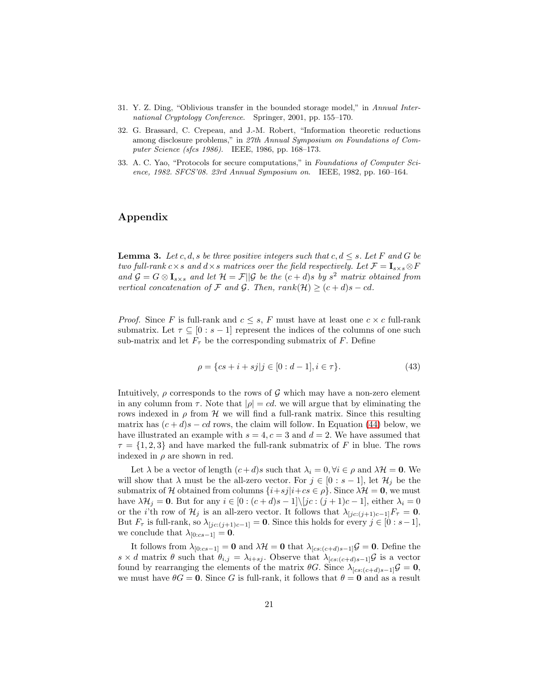- <span id="page-20-1"></span><span id="page-20-0"></span>31. Y. Z. Ding, "Oblivious transfer in the bounded storage model," in *Annual International Cryptology Conference*. Springer, 2001, pp. 155–170.
- 32. G. Brassard, C. Crepeau, and J.-M. Robert, "Information theoretic reductions among disclosure problems," in *27th Annual Symposium on Foundations of Computer Science (sfcs 1986)*. IEEE, 1986, pp. 168–173.
- <span id="page-20-2"></span>33. A. C. Yao, "Protocols for secure computations," in *Foundations of Computer Science, 1982. SFCS'08. 23rd Annual Symposium on*. IEEE, 1982, pp. 160–164.

# Appendix

<span id="page-20-3"></span>**Lemma 3.** Let c, d, s be three positive integers such that c,  $d \leq s$ . Let F and G be two full-rank c×s and d×s matrices over the field respectively. Let  $\mathcal{F} = I_{s \times s} \otimes F$ and  $\mathcal{G} = G \otimes \mathbf{I}_{s \times s}$  and let  $\mathcal{H} = \mathcal{F} \mid \mid \mathcal{G}$  be the  $(c + d)s$  by  $s^2$  matrix obtained from vertical concatenation of F and G. Then, rank(H)  $\geq$   $(c + d)s - cd$ .

*Proof.* Since F is full-rank and  $c \leq s$ , F must have at least one  $c \times c$  full-rank submatrix. Let  $\tau \subseteq [0 : s-1]$  represent the indices of the columns of one such sub-matrix and let  $F_{\tau}$  be the corresponding submatrix of F. Define

$$
\rho = \{cs + i + sj | j \in [0 : d - 1], i \in \tau\}.
$$
\n(43)

Intuitively,  $\rho$  corresponds to the rows of G which may have a non-zero element in any column from  $\tau$ . Note that  $|\rho| = cd$ , we will argue that by eliminating the rows indexed in  $\rho$  from H we will find a full-rank matrix. Since this resulting matrix has  $(c + d)s - cd$  rows, the claim will follow. In Equation [\(44\)](#page-21-0) below, we have illustrated an example with  $s = 4, c = 3$  and  $d = 2$ . We have assumed that  $\tau = \{1, 2, 3\}$  and have marked the full-rank submatrix of F in blue. The rows indexed in  $\rho$  are shown in red.

Let  $\lambda$  be a vector of length  $(c+d)s$  such that  $\lambda_i = 0, \forall i \in \rho$  and  $\lambda_i \neq 0$ . We will show that  $\lambda$  must be the all-zero vector. For  $j \in [0 : s-1]$ , let  $\mathcal{H}_j$  be the submatrix of H obtained from columns  $\{i+sj|i+cs \in \rho\}$ . Since  $\lambda \mathcal{H} = 0$ , we must have  $\lambda \mathcal{H}_j = 0$ . But for any  $i \in [0 : (c + d)s - 1] \setminus [jc : (j + 1)c - 1]$ , either  $\lambda_i = 0$ or the *i*'th row of  $\mathcal{H}_j$  is an all-zero vector. It follows that  $\lambda_{[jc:(j+1)c-1]}F_\tau = \mathbf{0}$ . But  $F_{\tau}$  is full-rank, so  $\lambda_{[jc:(j+1)c-1]} = 0$ . Since this holds for every  $j \in [0:s-1]$ , we conclude that  $\lambda_{[0:cs-1]} = 0$ .

It follows from  $\lambda_{[0:cs-1]} = 0$  and  $\lambda \mathcal{H} = 0$  that  $\lambda_{[cs:(c+d)s-1]} \mathcal{G} = 0$ . Define the s × d matrix  $\theta$  such that  $\theta_{i,j} = \lambda_{i+sj}$ . Observe that  $\lambda_{[cs:(c+d)s-1]}$  is a vector found by rearranging the elements of the matrix  $\theta G$ . Since  $\lambda_{[cs:(c+d)s-1]}\mathcal{G} = \mathbf{0}$ , we must have  $\theta G = 0$ . Since G is full-rank, it follows that  $\theta = 0$  and as a result